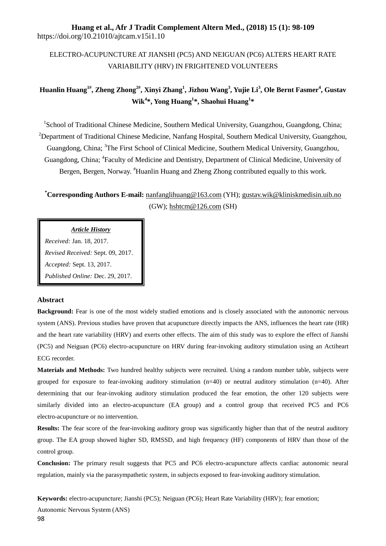# **Huang et al., Afr J Tradit Complement Altern Med., (2018) 15 (1): 98-109** https://doi.org/10.21010/ajtcam.v15i1.10

# ELECTRO-ACUPUNCTURE AT JIANSHI (PC5) AND NEIGUAN (PC6) ALTERS HEART RATE VARIABILITY (HRV) IN FRIGHTENED VOLUNTEERS

# **Huanlin Huang1#, Zheng Zhong2# , Xinyi Zhang<sup>1</sup> , Jizhou Wang<sup>3</sup> , Yujie Li<sup>3</sup> , Ole Bernt Fasmer<sup>4</sup> , Gustav Wik<sup>4</sup> \*, Yong Huang<sup>1</sup> \*, Shaohui Huang<sup>1</sup> \***

<sup>1</sup>School of Traditional Chinese Medicine, Southern Medical University, Guangzhou, Guangdong, China; <sup>2</sup>Department of Traditional Chinese Medicine, Nanfang Hospital, Southern Medical University, Guangzhou, Guangdong, China; <sup>3</sup>The First School of Clinical Medicine, Southern Medical University, Guangzhou, Guangdong, China; <sup>4</sup>Faculty of Medicine and Dentistry, Department of Clinical Medicine, University of Bergen, Bergen, Norway. #Huanlin Huang and Zheng Zhong contributed equally to this work.

**\*Corresponding Authors E-mail:** [nanfanglihuang@163.com](mailto:nanfanglihuang@163.com) (YH); [gustav.wik@kliniskmedisin.uib.no](mailto:gustav.wik@kliniskmedisin.uib.no) (GW); [hshtcm@126.com](mailto:hshtcm@126.com) (SH)

# *Article History*

*Received:* Jan. 18, 2017. *Revised Received:* Sept. 09, 2017. *Accepted:* Sept. 13, 2017. *Published Online:* Dec. 29, 2017.

# **Abstract**

**Background:** Fear is one of the most widely studied emotions and is closely associated with the autonomic nervous system (ANS). Previous studies have proven that acupuncture directly impacts the ANS, influences the heart rate (HR) and the heart rate variability (HRV) and exerts other effects. The aim of this study was to explore the effect of Jianshi (PC5) and Neiguan (PC6) electro-acupuncture on HRV during fear-invoking auditory stimulation using an Actiheart ECG recorder.

**Materials and Methods:** Two hundred healthy subjects were recruited. Using a random number table, subjects were grouped for exposure to fear-invoking auditory stimulation  $(n=40)$  or neutral auditory stimulation  $(n=40)$ . After determining that our fear-invoking auditory stimulation produced the fear emotion, the other 120 subjects were similarly divided into an electro-acupuncture (EA group) and a control group that received PC5 and PC6 electro-acupuncture or no intervention.

**Results:** The fear score of the fear-invoking auditory group was significantly higher than that of the neutral auditory group. The EA group showed higher SD, RMSSD, and high frequency (HF) components of HRV than those of the control group.

**Conclusion:** The primary result suggests that PC5 and PC6 electro-acupuncture affects cardiac autonomic neural regulation, mainly via the parasympathetic system, in subjects exposed to fear-invoking auditory stimulation.

**Keywords:** electro-acupuncture; Jianshi (PC5); Neiguan (PC6); Heart Rate Variability (HRV); fear emotion; Autonomic Nervous System (ANS)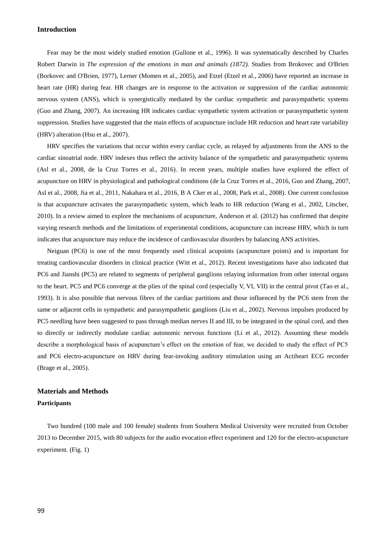# **Introduction**

Fear may be the most widely studied emotion (Gullone et al., 1996). It was systematically described by Charles Robert Darwin in *The expression of the emotions in man and animals (1872).* Studies from Brokovec and O'Brien (Borkovec and O'Brien, 1977), Lerner (Momen et al., 2005), and Etzel (Etzel et al., 2006) have reported an increase in heart rate (HR) during fear. HR changes are in response to the activation or suppression of the cardiac autonomic nervous system (ANS), which is synergistically mediated by the cardiac sympathetic and parasympathetic systems (Guo and Zhang, 2007). An increasing HR indicates cardiac sympathetic system activation or parasympathetic system suppression. Studies have suggested that the main effects of acupuncture include HR reduction and heart rate variability (HRV) alteration (Hsu et al., 2007).

HRV specifies the variations that occur within every cardiac cycle, as relayed by adjustments from the ANS to the cardiac sinoatrial node. HRV indexes thus reflect the activity balance of the sympathetic and parasympathetic systems (Asl et al., 2008, de la Cruz Torres et al., 2016). In recent years, multiple studies have explored the effect of acupuncture on HRV in physiological and pathological conditions (de la Cruz Torres et al., 2016, Guo and Zhang, 2007, Asl et al., 2008, Jia et al., 2011, Nakahara et al., 2016, B A Cker et al., 2008, Park et al., 2008). One current conclusion is that acupuncture activates the parasympathetic system, which leads to HR reduction (Wang et al., 2002, Litscher, 2010). In a review aimed to explore the mechanisms of acupuncture, Anderson et al. (2012) has confirmed that despite varying research methods and the limitations of experimental conditions, acupuncture can increase HRV, which in turn indicates that acupuncture may reduce the incidence of cardiovascular disorders by balancing ANS activities.

Neiguan (PC6) is one of the most frequently used clinical acupoints (acupuncture points) and is important for treating cardiovascular disorders in clinical practice (Witt et al., 2012). Recent investigations have also indicated that PC6 and Jianshi (PC5) are related to segments of peripheral ganglions relaying information from other internal organs to the heart. PC5 and PC6 converge at the plies of the spinal cord (especially V, VI, VII) in the central pivot (Tao et al., 1993). It is also possible that nervous fibres of the cardiac partitions and those influenced by the PC6 stem from the same or adjacent cells in sympathetic and parasympathetic ganglions (Liu et al., 2002). Nervous impulses produced by PC5 needling have been suggested to pass through median nerves II and III, to be integrated in the spinal cord, and then to directly or indirectly modulate cardiac autonomic nervous functions (Li et al., 2012). Assuming these models describe a morphological basis of acupuncture's effect on the emotion of fear, we decided to study the effect of PC5 and PC6 electro-acupuncture on HRV during fear-invoking auditory stimulation using an Actiheart ECG recorder (Brage et al., 2005).

# **Materials and Methods**

# **Participants**

Two hundred (100 male and 100 female) students from Southern Medical University were recruited from October 2013 to December 2015, with 80 subjects for the audio evocation effect experiment and 120 for the electro-acupuncture experiment. (Fig. 1)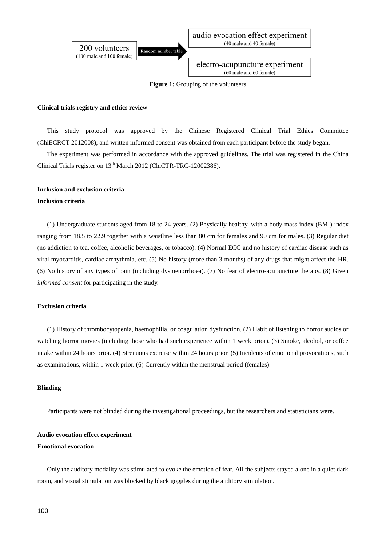

**Figure 1:** Grouping of the volunteers

# **Clinical trials registry and ethics review**

This study protocol was approved by the Chinese Registered Clinical Trial Ethics Committee (ChiECRCT-2012008), and written informed consent was obtained from each participant before the study began.

The experiment was performed in accordance with the approved guidelines. The trial was registered in the China Clinical Trials register on  $13<sup>th</sup>$  March 2012 (ChiCTR-TRC-12002386).

#### **Inclusion and exclusion criteria**

#### **Inclusion criteria**

(1) Undergraduate students aged from 18 to 24 years. (2) Physically healthy, with a body mass index (BMI) index ranging from 18.5 to 22.9 together with a waistline less than 80 cm for females and 90 cm for males. (3) Regular diet (no addiction to tea, coffee, alcoholic beverages, or tobacco). (4) Normal ECG and no history of cardiac disease such as viral myocarditis, cardiac arrhythmia, etc. (5) No history (more than 3 months) of any drugs that might affect the HR. (6) No history of any types of pain (including dysmenorrhoea). (7) No fear of electro-acupuncture therapy. (8) Given *informed consent* for participating in the study.

# **Exclusion criteria**

(1) History of thrombocytopenia, haemophilia, or coagulation dysfunction. (2) Habit of listening to horror audios or watching horror movies (including those who had such experience within 1 week prior). (3) Smoke, alcohol, or coffee intake within 24 hours prior. (4) Strenuous exercise within 24 hours prior. (5) Incidents of emotional provocations, such as examinations, within 1 week prior. (6) Currently within the menstrual period (females).

# **Blinding**

Participants were not blinded during the investigational proceedings, but the researchers and statisticians were.

# **Audio evocation effect experiment Emotional evocation**

Only the auditory modality was stimulated to evoke the emotion of fear. All the subjects stayed alone in a quiet dark room, and visual stimulation was blocked by black goggles during the auditory stimulation.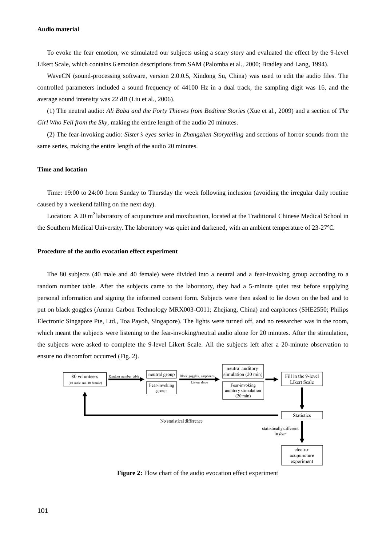#### **Audio material**

To evoke the fear emotion, we stimulated our subjects using a scary story and evaluated the effect by the 9-level Likert Scale, which contains 6 emotion descriptions from SAM (Palomba et al., 2000; Bradley and Lang, 1994).

WaveCN (sound-processing software, version 2.0.0.5, Xindong Su, China) was used to edit the audio files. The controlled parameters included a sound frequency of 44100 Hz in a dual track, the sampling digit was 16, and the average sound intensity was 22 dB (Liu et al., 2006).

(1) The neutral audio: *Ali Baba and the Forty Thieves from Bedtime Stories* (Xue et al., 2009) and a section of *The Girl Who Fell from the Sky*, making the entire length of the audio 20 minutes.

(2) The fear-invoking audio: *Sister's eyes series* in *Zhangzhen Storytelling* and sections of horror sounds from the same series, making the entire length of the audio 20 minutes.

# **Time and location**

Time: 19:00 to 24:00 from Sunday to Thursday the week following inclusion (avoiding the irregular daily routine caused by a weekend falling on the next day).

Location: A 20 m<sup>2</sup> laboratory of acupuncture and moxibustion, located at the Traditional Chinese Medical School in the Southern Medical University. The laboratory was quiet and darkened, with an ambient temperature of 23-27℃.

# **Procedure of the audio evocation effect experiment**

The 80 subjects (40 male and 40 female) were divided into a neutral and a fear-invoking group according to a random number table. After the subjects came to the laboratory, they had a 5-minute quiet rest before supplying personal information and signing the informed consent form. Subjects were then asked to lie down on the bed and to put on black goggles (Annan Carbon Technology MRX003-C011; Zhejiang, China) and earphones (SHE2550; Philips Electronic Singapore Pte, Ltd., Toa Payoh, Singapore). The lights were turned off, and no researcher was in the room, which meant the subjects were listening to the fear-invoking/neutral audio alone for 20 minutes. After the stimulation, the subjects were asked to complete the 9-level Likert Scale. All the subjects left after a 20-minute observation to ensure no discomfort occurred (Fig. 2).



**Figure 2:** Flow chart of the audio evocation effect experiment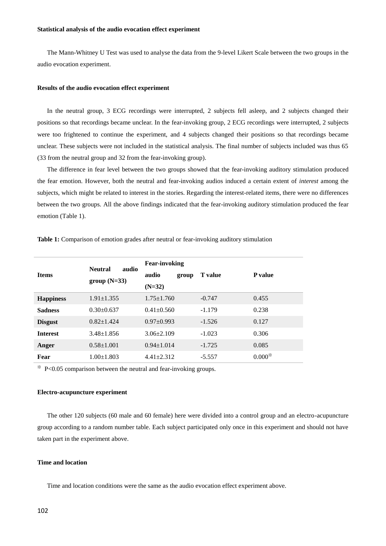# **Statistical analysis of the audio evocation effect experiment**

The Mann-Whitney U Test was used to analyse the data from the 9-level Likert Scale between the two groups in the audio evocation experiment.

#### **Results of the audio evocation effect experiment**

In the neutral group, 3 ECG recordings were interrupted, 2 subjects fell asleep, and 2 subjects changed their positions so that recordings became unclear. In the fear-invoking group, 2 ECG recordings were interrupted, 2 subjects were too frightened to continue the experiment, and 4 subjects changed their positions so that recordings became unclear. These subjects were not included in the statistical analysis. The final number of subjects included was thus 65 (33 from the neutral group and 32 from the fear-invoking group).

The difference in fear level between the two groups showed that the fear-invoking auditory stimulation produced the fear emotion. However, both the neutral and fear-invoking audios induced a certain extent of *interest* among the subjects, which might be related to interest in the stories. Regarding the interest-related items, there were no differences between the two groups. All the above findings indicated that the fear-invoking auditory stimulation produced the fear emotion (Table 1).

|                  | audio<br><b>Neutral</b><br>$group(N=33)$ | <b>Fear-invoking</b> |                |                |  |
|------------------|------------------------------------------|----------------------|----------------|----------------|--|
| <b>Items</b>     |                                          | audio<br>group       | <b>T</b> value | <b>P</b> value |  |
|                  |                                          | $(N=32)$             |                |                |  |
| <b>Happiness</b> | $1.91 \pm 1.355$                         | $1.75 \pm 1.760$     | $-0.747$       | 0.455          |  |
| <b>Sadness</b>   | $0.30 \pm 0.637$                         | $0.41 \pm 0.560$     | $-1.179$       | 0.238          |  |
| <b>Disgust</b>   | $0.82+1.424$                             | $0.97+0.993$         | $-1.526$       | 0.127          |  |
| <b>Interest</b>  | $3.48 \pm 1.856$                         | $3.06\pm2.109$       | $-1.023$       | 0.306          |  |
| Anger            | $0.58 + 1.001$                           | $0.94 + 1.014$       | $-1.725$       | 0.085          |  |
| Fear             | $1.00 \pm 1.803$                         | $4.41 \pm 2.312$     | $-5.557$       | $0.000*$       |  |
|                  |                                          |                      |                |                |  |

**Table 1:** Comparison of emotion grades after neutral or fear-invoking auditory stimulation

 $*$  P<0.05 comparison between the neutral and fear-invoking groups.

#### **Electro-acupuncture experiment**

The other 120 subjects (60 male and 60 female) here were divided into a control group and an electro-acupuncture group according to a random number table. Each subject participated only once in this experiment and should not have taken part in the experiment above.

# **Time and location**

Time and location conditions were the same as the audio evocation effect experiment above.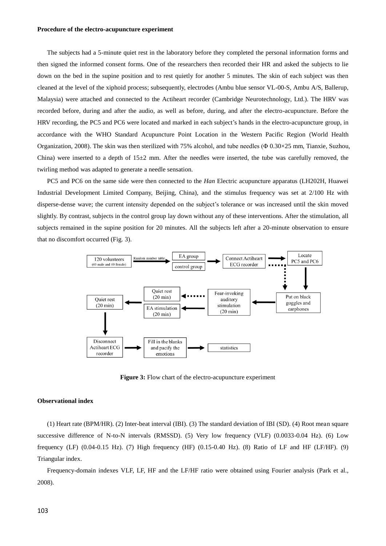#### **Procedure of the electro-acupuncture experiment**

The subjects had a 5-minute quiet rest in the laboratory before they completed the personal information forms and then signed the informed consent forms. One of the researchers then recorded their HR and asked the subjects to lie down on the bed in the supine position and to rest quietly for another 5 minutes. The skin of each subject was then cleaned at the level of the xiphoid process; subsequently, electrodes (Ambu blue sensor VL-00-S, Ambu A/S, Ballerup, Malaysia) were attached and connected to the Actiheart recorder (Cambridge Neurotechnology, Ltd.). The HRV was recorded before, during and after the audio, as well as before, during, and after the electro-acupuncture. Before the HRV recording, the PC5 and PC6 were located and marked in each subject's hands in the electro-acupuncture group, in accordance with the WHO Standard Acupuncture Point Location in the Western Pacific Region (World Health Organization, 2008). The skin was then sterilized with 75% alcohol, and tube needles (Φ 0.30×25 mm, Tianxie, Suzhou, China) were inserted to a depth of  $15\pm2$  mm. After the needles were inserted, the tube was carefully removed, the twirling method was adapted to generate a needle sensation.

PC5 and PC6 on the same side were then connected to the *Han* Electric acupuncture apparatus (LH202H, Huawei Industrial Development Limited Company, Beijing, China), and the stimulus frequency was set at 2/100 Hz with disperse-dense wave; the current intensity depended on the subject's tolerance or was increased until the skin moved slightly. By contrast, subjects in the control group lay down without any of these interventions. After the stimulation, all subjects remained in the supine position for 20 minutes. All the subjects left after a 20-minute observation to ensure that no discomfort occurred (Fig. 3).



**Figure 3:** Flow chart of the electro-acupuncture experiment

# **Observational index**

(1) Heart rate (BPM/HR). (2) Inter-beat interval (IBI). (3) The standard deviation of IBI (SD). (4) Root mean square successive difference of N-to-N intervals (RMSSD). (5) Very low frequency (VLF) (0.0033-0.04 Hz). (6) Low frequency (LF) (0.04-0.15 Hz). (7) High frequency (HF) (0.15-0.40 Hz). (8) Ratio of LF and HF (LF/HF). (9) Triangular index.

Frequency-domain indexes VLF, LF, HF and the LF/HF ratio were obtained using Fourier analysis (Park et al., 2008).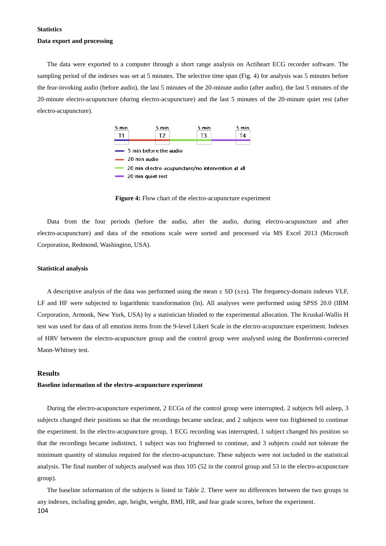#### **Statistics**

#### **Data export and processing**

The data were exported to a computer through a short range analysis on Actiheart ECG recorder software. The sampling period of the indexes was set at 5 minutes. The selective time span (Fig. 4) for analysis was 5 minutes before the fear-invoking audio (before audio), the last 5 minutes of the 20-minute audio (after audio), the last 5 minutes of the 20-minute electro-acupuncture (during electro-acupuncture) and the last 5 minutes of the 20-minute quiet rest (after electro-acupuncture).



**Figure 4:** Flow chart of the electro-acupuncture experiment

Data from the four periods (before the audio, after the audio, during electro-acupuncture and after electro-acupuncture) and data of the emotions scale were sorted and processed via MS Excel 2013 (Microsoft Corporation, Redmond, Washington, USA).

#### **Statistical analysis**

A descriptive analysis of the data was performed using the mean  $\pm$  SD (x $\pm$ s). The frequency-domain indexes VLF, LF and HF were subjected to logarithmic transformation (ln). All analyses were performed using SPSS 20.0 (IBM Corporation, Armonk, New York, USA) by a statistician blinded to the experimental allocation. The Kruskal-Wallis H test was used for data of all emotion items from the 9-level Likert Scale in the electro-acupuncture experiment. Indexes of HRV between the electro-acupuncture group and the control group were analysed using the Bonferroni-corrected Mann-Whitney test.

# **Results**

#### **Baseline information of the electro-acupuncture experiment**

During the electro-acupuncture experiment, 2 ECGs of the control group were interrupted, 2 subjects fell asleep, 3 subjects changed their positions so that the recordings became unclear, and 2 subjects were too frightened to continue the experiment. In the electro-acupuncture group, 1 ECG recording was interrupted, 1 subject changed his position so that the recordings became indistinct, 1 subject was too frightened to continue, and 3 subjects could not tolerate the minimum quantity of stimulus required for the electro-acupuncture. These subjects were not included in the statistical analysis. The final number of subjects analysed was thus 105 (52 in the control group and 53 in the electro-acupuncture group).

104 The baseline information of the subjects is listed in Table 2. There were no differences between the two groups in any indexes, including gender, age, height, weight, BMI, HR, and fear grade scores, before the experiment.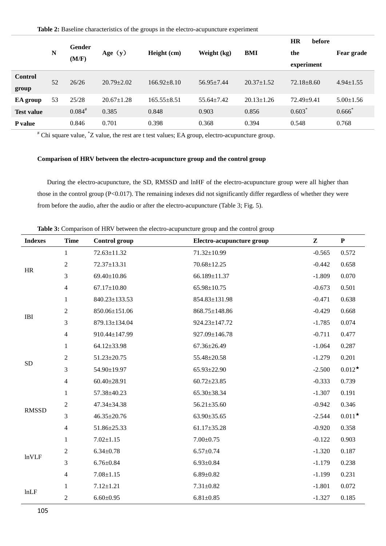|                         | N  | <b>Gender</b><br>(M/F) | Age $(y)$        | Height (cm)     | Weight (kg)      | BMI              | <b>HR</b><br>before<br>the<br>experiment | <b>Fear grade</b> |
|-------------------------|----|------------------------|------------------|-----------------|------------------|------------------|------------------------------------------|-------------------|
| <b>Control</b><br>group | 52 | 26/26                  | $20.79 \pm 2.02$ | $166.92 + 8.10$ | $56.95 + 7.44$   | $20.37 \pm 1.52$ | $72.18 \pm 8.60$                         | $4.94 \pm 1.55$   |
| EA group                | 53 | 25/28                  | $20.67 \pm 1.28$ | $165.55 + 8.51$ | $55.64 \pm 7.42$ | $20.13 \pm 1.26$ | $72.49 \pm 9.41$                         | $5.00 \pm 1.56$   |
| <b>Test value</b>       |    | $0.084^{*}$            | 0.385            | 0.848           | 0.903            | 0.856            | $0.603$ <sup>*</sup>                     | $0.666^*$         |
| P value                 |    | 0.846                  | 0.701            | 0.398           | 0.368            | 0.394            | 0.548                                    | 0.768             |

# Chi square value, \*Z value, the rest are t test values; EA group, electro-acupuncture group.

# **Comparison of HRV between the electro-acupuncture group and the control group**

During the electro-acupuncture, the SD, RMSSD and lnHF of the electro-acupuncture group were all higher than those in the control group (P<0.017). The remaining indexes did not significantly differ regardless of whether they were from before the audio, after the audio or after the electro-acupuncture (Table 3; Fig. 5).

**Table 3:** Comparison of HRV between the electro-acupuncture group and the control group

| <b>Indexes</b> | <b>Time</b>             | Control group     | Electro-acupuncture group | $\mathbf{z}$ | ${\bf P}$ |
|----------------|-------------------------|-------------------|---------------------------|--------------|-----------|
| HR             | $\mathbf{1}$            | 72.63±11.32       | 71.32±10.99               | $-0.565$     | 0.572     |
|                | $\sqrt{2}$              | 72.37±13.31       | $70.68 \pm 12.25$         | $-0.442$     | 0.658     |
|                | $\mathfrak{Z}$          | 69.40±10.86       | 66.189±11.37              | $-1.809$     | 0.070     |
|                | $\overline{4}$          | $67.17 \pm 10.80$ | 65.98±10.75               | $-0.673$     | 0.501     |
| IBI            | $\mathbf{1}$            | 840.23±133.53     | 854.83±131.98             | $-0.471$     | 0.638     |
|                | $\sqrt{2}$              | 850.06±151.06     | 868.75±148.86             | $-0.429$     | 0.668     |
|                | $\mathfrak{Z}$          | 879.13±134.04     | 924.23±147.72             | $-1.785$     | 0.074     |
|                | $\overline{4}$          | 910.44±147.99     | 927.09±146.78             | $-0.711$     | 0.477     |
| <b>SD</b>      | $\mathbf{1}$            | 64.12±33.98       | $67.36 \pm 26.49$         | $-1.064$     | 0.287     |
|                | $\sqrt{2}$              | 51.23±20.75       | 55.48±20.58               | $-1.279$     | 0.201     |
|                | $\mathfrak{Z}$          | 54.90±19.97       | 65.93±22.90               | $-2.500$     | $0.012*$  |
|                | $\overline{4}$          | $60.40 \pm 28.91$ | $60.72 \pm 23.85$         | $-0.333$     | 0.739     |
| <b>RMSSD</b>   | $\mathbf{1}$            | 57.38±40.23       | 65.30±38.34               | $-1.307$     | 0.191     |
|                | $\sqrt{2}$              | 47.34±34.38       | $56.21 \pm 35.60$         | $-0.942$     | 0.346     |
|                | 3                       | $46.35 \pm 20.76$ | $63.90 \pm 35.65$         | $-2.544$     | $0.011*$  |
|                | $\overline{\mathbf{4}}$ | 51.86±25.33       | $61.17 \pm 35.28$         | $-0.920$     | 0.358     |
| <b>lnVLF</b>   | $\mathbf{1}$            | $7.02 \pm 1.15$   | $7.00 \pm 0.75$           | $-0.122$     | 0.903     |
|                | $\sqrt{2}$              | $6.34 \pm 0.78$   | $6.57 + 0.74$             | $-1.320$     | 0.187     |
|                | 3                       | $6.76 \pm 0.84$   | $6.93 \pm 0.84$           | $-1.179$     | 0.238     |
|                | $\overline{4}$          | $7.08 \pm 1.15$   | $6.89 \pm 0.82$           | $-1.199$     | 0.231     |
|                | $\mathbf{1}$            | $7.12 \pm 1.21$   | $7.31 \pm 0.82$           | $-1.801$     | 0.072     |
| lnLF           | $\overline{2}$          | $6.60 \pm 0.95$   | $6.81 \pm 0.85$           | $-1.327$     | 0.185     |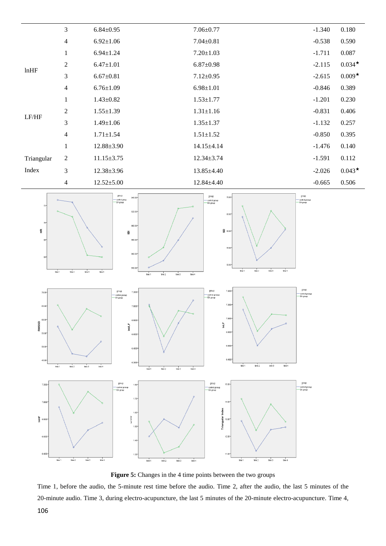



**Figure 5:** Changes in the 4 time points between the two groups

 Time 1, before the audio, the 5-minute rest time before the audio. Time 2, after the audio, the last 5 minutes of the 20-minute audio. Time 3, during electro-acupuncture, the last 5 minutes of the 20-minute electro-acupuncture. Time 4,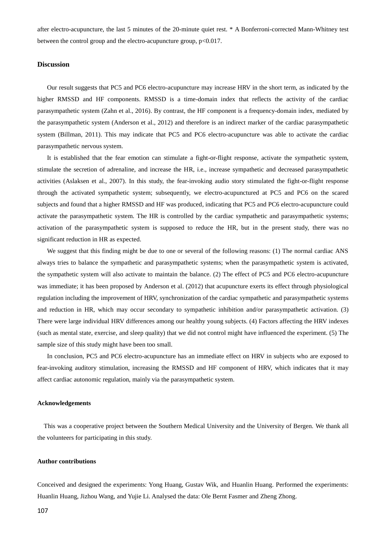after electro-acupuncture, the last 5 minutes of the 20-minute quiet rest. \* A Bonferroni-corrected Mann-Whitney test between the control group and the electro-acupuncture group, p<0.017.

#### **Discussion**

Our result suggests that PC5 and PC6 electro-acupuncture may increase HRV in the short term, as indicated by the higher RMSSD and HF components. RMSSD is a time-domain index that reflects the activity of the cardiac parasympathetic system (Zahn et al., 2016). By contrast, the HF component is a frequency-domain index, mediated by the parasympathetic system (Anderson et al., 2012) and therefore is an indirect marker of the cardiac parasympathetic system (Billman, 2011). This may indicate that PC5 and PC6 electro-acupuncture was able to activate the cardiac parasympathetic nervous system.

It is established that the fear emotion can stimulate a fight-or-flight response, activate the sympathetic system, stimulate the secretion of adrenaline, and increase the HR, i.e., increase sympathetic and decreased parasympathetic activities (Aslaksen et al., 2007). In this study, the fear-invoking audio story stimulated the fight-or-flight response through the activated sympathetic system; subsequently, we electro-acupunctured at PC5 and PC6 on the scared subjects and found that a higher RMSSD and HF was produced, indicating that PC5 and PC6 electro-acupuncture could activate the parasympathetic system. The HR is controlled by the cardiac sympathetic and parasympathetic systems; activation of the parasympathetic system is supposed to reduce the HR, but in the present study, there was no significant reduction in HR as expected.

We suggest that this finding might be due to one or several of the following reasons: (1) The normal cardiac ANS always tries to balance the sympathetic and parasympathetic systems; when the parasympathetic system is activated, the sympathetic system will also activate to maintain the balance. (2) The effect of PC5 and PC6 electro-acupuncture was immediate; it has been proposed by Anderson et al. (2012) that acupuncture exerts its effect through physiological regulation including the improvement of HRV, synchronization of the cardiac sympathetic and parasympathetic systems and reduction in HR, which may occur secondary to sympathetic inhibition and/or parasympathetic activation. (3) There were large individual HRV differences among our healthy young subjects. (4) Factors affecting the HRV indexes (such as mental state, exercise, and sleep quality) that we did not control might have influenced the experiment. (5) The sample size of this study might have been too small.

In conclusion, PC5 and PC6 electro-acupuncture has an immediate effect on HRV in subjects who are exposed to fear-invoking auditory stimulation, increasing the RMSSD and HF component of HRV, which indicates that it may affect cardiac autonomic regulation, mainly via the parasympathetic system.

## **Acknowledgements**

This was a cooperative project between the Southern Medical University and the University of Bergen. We thank all the volunteers for participating in this study.

# **Author contributions**

Conceived and designed the experiments: Yong Huang, Gustav Wik, and Huanlin Huang. Performed the experiments: Huanlin Huang, Jizhou Wang, and Yujie Li. Analysed the data: Ole Bernt Fasmer and Zheng Zhong.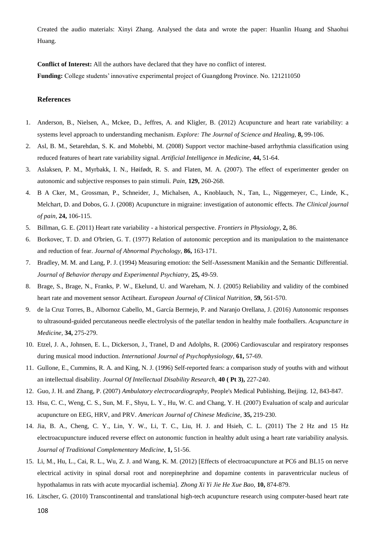Created the audio materials: Xinyi Zhang. Analysed the data and wrote the paper: Huanlin Huang and Shaohui Huang.

**Conflict of Interest:** All the authors have declared that they have no conflict of interest. **Funding:** College students' innovative experimental project of Guangdong Province. No. 121211050

#### **References**

- 1. Anderson, B., Nielsen, A., Mckee, D., Jeffres, A. and Kligler, B. (2012) Acupuncture and heart rate variability: a systems level approach to understanding mechanism. *Explore: The Journal of Science and Healing,* **8,** 99-106.
- 2. Asl, B. M., Setarehdan, S. K. and Mohebbi, M. (2008) Support vector machine-based arrhythmia classification using reduced features of heart rate variability signal. *Artificial Intelligence in Medicine,* **44,** 51-64.
- 3. Aslaksen, P. M., Myrbakk, I. N., Høifødt, R. S. and Flaten, M. A. (2007). The effect of experimenter gender on autonomic and subjective responses to pain stimuli. *Pain,* **129,** 260-268.
- 4. B A Cker, M., Grossman, P., Schneider, J., Michalsen, A., Knoblauch, N., Tan, L., Niggemeyer, C., Linde, K., Melchart, D. and Dobos, G. J. (2008) Acupuncture in migraine: investigation of autonomic effects. *The Clinical journal of pain,* **24,** 106-115.
- 5. Billman, G. E. (2011) Heart rate variability a historical perspective. *Frontiers in Physiology,* **2,** 86.
- 6. Borkovec, T. D. and O'brien, G. T. (1977) Relation of autonomic perception and its manipulation to the maintenance and reduction of fear. *Journal of Abnormal Psychology,* **86,** 163-171.
- 7. Bradley, M. M. and Lang, P. J. (1994) Measuring emotion: the Self-Assessment Manikin and the Semantic Differential. *Journal of Behavior therapy and Experimental Psychiatry,* **25,** 49-59.
- 8. Brage, S., Brage, N., Franks, P. W., Ekelund, U. and Wareham, N. J. (2005) Reliability and validity of the combined heart rate and movement sensor Actiheart. *European Journal of Clinical Nutrition,* **59,** 561-570.
- 9. de la Cruz Torres, B., Albornoz Cabello, M., García Bermejo, P. and Naranjo Orellana, J. (2016) Autonomic responses to ultrasound-guided percutaneous needle electrolysis of the patellar tendon in healthy male footballers. *Acupuncture in Medicine,* **34,** 275-279.
- 10. Etzel, J. A., Johnsen, E. L., Dickerson, J., Tranel, D and Adolphs, R. (2006) Cardiovascular and respiratory responses during musical mood induction. *International Journal of Psychophysiology,* **61,** 57-69.
- 11. Gullone, E., Cummins, R. A. and King, N. J. (1996) Self-reported fears: a comparison study of youths with and without an intellectual disability. *Journal Of Intellectual Disability Research,* **40 ( Pt 3),** 227-240.
- 12. Guo, J. H. and Zhang, P. (2007) *Ambulatory electrocardiography,* People's Medical Publishing, Beijing. 12, 843-847.
- 13. Hsu, C. C., Weng, C. S., Sun, M. F., Shyu, L. Y., Hu, W. C. and Chang, Y. H. (2007) Evaluation of scalp and auricular acupuncture on EEG, HRV, and PRV. *American Journal of Chinese Medicine,* **35,** 219-230.
- 14. Jia, B. A., Cheng, C. Y., Lin, Y. W., Li, T. C., Liu, H. J. and Hsieh, C. L. (2011) The 2 Hz and 15 Hz electroacupuncture induced reverse effect on autonomic function in healthy adult using a heart rate variability analysis. *Journal of Traditional Complementary Medicine,* **1,** 51-56.
- 15. Li, M., Hu, L., Cai, R. L., Wu, Z. J. and Wang, K. M. (2012) [Effects of electroacupuncture at PC6 and BL15 on nerve electrical activity in spinal dorsal root and norepinephrine and dopamine contents in paraventricular nucleus of hypothalamus in rats with acute myocardial ischemia]. *Zhong Xi Yi Jie He Xue Bao,* **10,** 874-879.
- 16. Litscher, G. (2010) Transcontinental and translational high-tech acupuncture research using computer-based heart rate